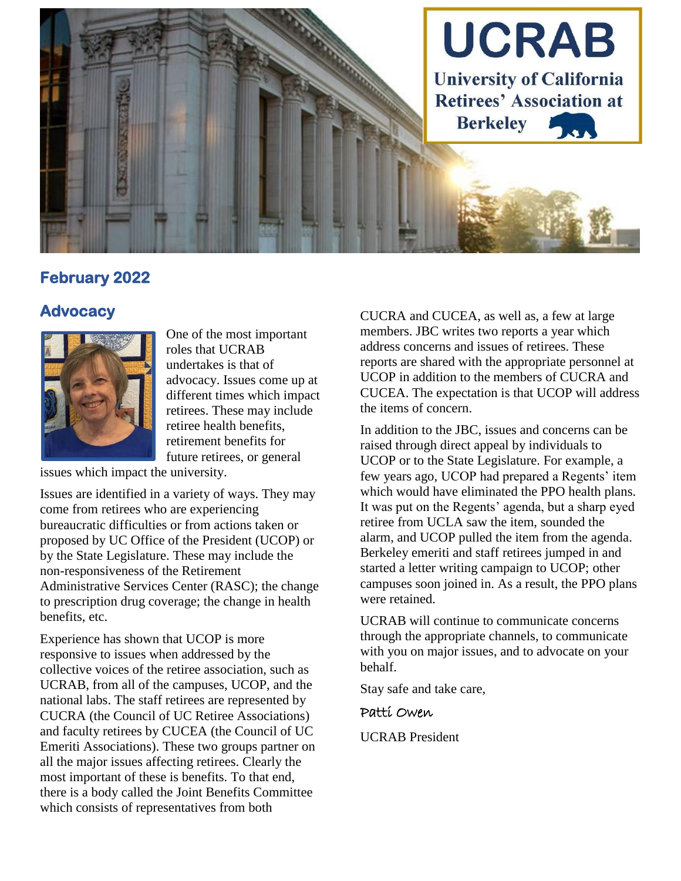

## **February 2022**

#### **Advocacy**



One of the most important roles that UCRAB undertakes is that of advocacy. Issues come up at different times which impact retirees. These may include retiree health benefits, retirement benefits for future retirees, or general

issues which impact the university.

Issues are identified in a variety of ways. They may come from retirees who are experiencing bureaucratic difficulties or from actions taken or proposed by UC Office of the President (UCOP) or by the State Legislature. These may include the non-responsiveness of the Retirement Administrative Services Center (RASC); the change to prescription drug coverage; the change in health benefits, etc.

Experience has shown that UCOP is more responsive to issues when addressed by the collective voices of the retiree association, such as UCRAB, from all of the campuses, UCOP, and the national labs. The staff retirees are represented by CUCRA (the Council of UC Retiree Associations) and faculty retirees by CUCEA (the Council of UC Emeriti Associations). These two groups partner on all the major issues affecting retirees. Clearly the most important of these is benefits. To that end, there is a body called the Joint Benefits Committee which consists of representatives from both

CUCRA and CUCEA, as well as, a few at large members. JBC writes two reports a year which address concerns and issues of retirees. These reports are shared with the appropriate personnel at UCOP in addition to the members of CUCRA and CUCEA. The expectation is that UCOP will address the items of concern.

In addition to the JBC, issues and concerns can be raised through direct appeal by individuals to UCOP or to the State Legislature. For example, a few years ago, UCOP had prepared a Regents' item which would have eliminated the PPO health plans. It was put on the Regents' agenda, but a sharp eyed retiree from UCLA saw the item, sounded the alarm, and UCOP pulled the item from the agenda. Berkeley emeriti and staff retirees jumped in and started a letter writing campaign to UCOP; other campuses soon joined in. As a result, the PPO plans were retained.

UCRAB will continue to communicate concerns through the appropriate channels, to communicate with you on major issues, and to advocate on your behalf.

Stay safe and take care,

Patti Owen

UCRAB President